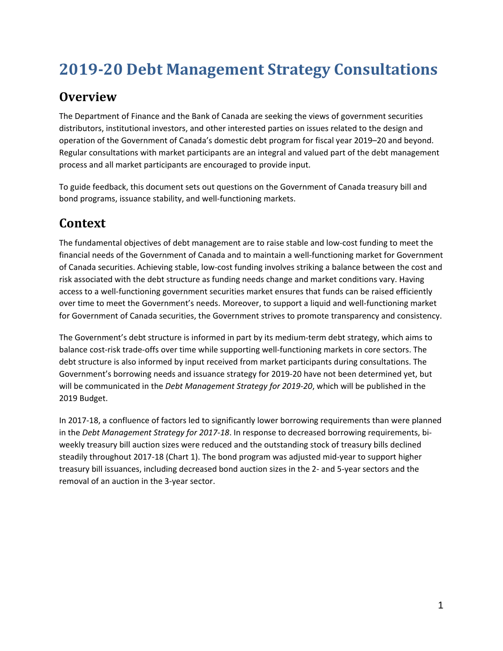# **2019-20 Debt Management Strategy Consultations**

#### **Overview**

The Department of Finance and the Bank of Canada are seeking the views of government securities distributors, institutional investors, and other interested parties on issues related to the design and operation of the Government of Canada's domestic debt program for fiscal year 2019–20 and beyond. Regular consultations with market participants are an integral and valued part of the debt management process and all market participants are encouraged to provide input.

To guide feedback, this document sets out questions on the Government of Canada treasury bill and bond programs, issuance stability, and well-functioning markets.

# **Context**

The fundamental objectives of debt management are to raise stable and low-cost funding to meet the financial needs of the Government of Canada and to maintain a well-functioning market for Government of Canada securities. Achieving stable, low-cost funding involves striking a balance between the cost and risk associated with the debt structure as funding needs change and market conditions vary. Having access to a well-functioning government securities market ensures that funds can be raised efficiently over time to meet the Government's needs. Moreover, to support a liquid and well-functioning market for Government of Canada securities, the Government strives to promote transparency and consistency.

The Government's debt structure is informed in part by its medium-term debt strategy, which aims to balance cost-risk trade-offs over time while supporting well-functioning markets in core sectors. The debt structure is also informed by input received from market participants during consultations. The Government's borrowing needs and issuance strategy for 2019-20 have not been determined yet, but will be communicated in the *Debt Management Strategy for 2019-20*, which will be published in the 2019 Budget.

In 2017-18, a confluence of factors led to significantly lower borrowing requirements than were planned in the *Debt Management Strategy for 2017-18*. In response to decreased borrowing requirements, biweekly treasury bill auction sizes were reduced and the outstanding stock of treasury bills declined steadily throughout 2017-18 (Chart 1). The bond program was adjusted mid-year to support higher treasury bill issuances, including decreased bond auction sizes in the 2- and 5-year sectors and the removal of an auction in the 3-year sector.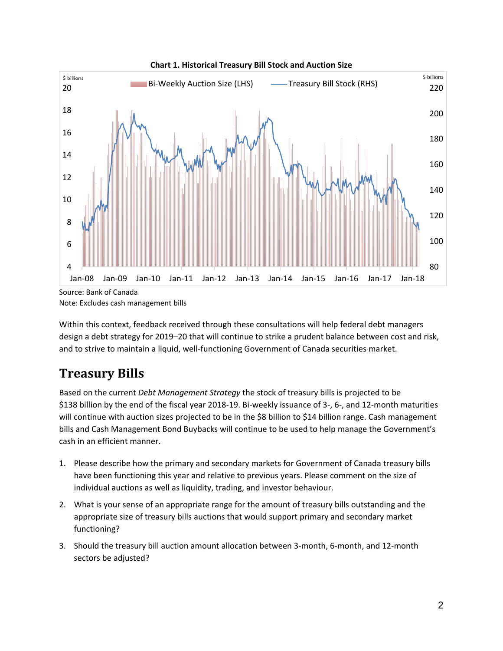

Note: Excludes cash management bills

Within this context, feedback received through these consultations will help federal debt managers design a debt strategy for 2019–20 that will continue to strike a prudent balance between cost and risk, and to strive to maintain a liquid, well-functioning Government of Canada securities market.

## **Treasury Bills**

Based on the current *Debt Management Strategy* the stock of treasury bills is projected to be \$138 billion by the end of the fiscal year 2018-19. Bi-weekly issuance of 3-, 6-, and 12-month maturities will continue with auction sizes projected to be in the \$8 billion to \$14 billion range. Cash management bills and Cash Management Bond Buybacks will continue to be used to help manage the Government's cash in an efficient manner.

- 1. Please describe how the primary and secondary markets for Government of Canada treasury bills have been functioning this year and relative to previous years. Please comment on the size of individual auctions as well as liquidity, trading, and investor behaviour.
- 2. What is your sense of an appropriate range for the amount of treasury bills outstanding and the appropriate size of treasury bills auctions that would support primary and secondary market functioning?
- 3. Should the treasury bill auction amount allocation between 3-month, 6-month, and 12-month sectors be adjusted?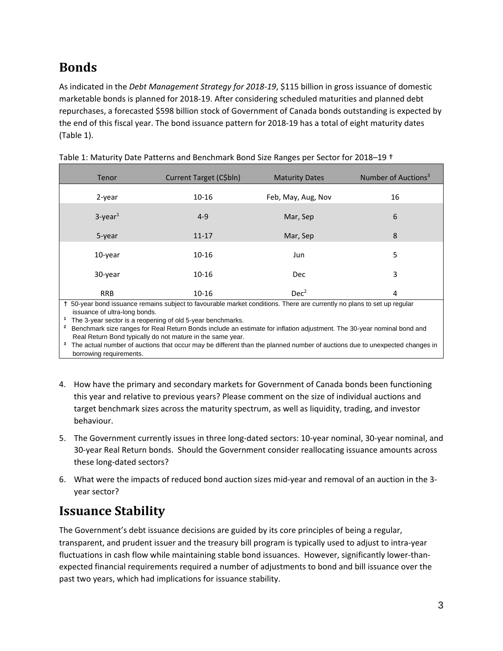# **Bonds**

As indicated in the *Debt Management Strategy for 2018-19*, \$115 billion in gross issuance of domestic marketable bonds is planned for 2018-19. After considering scheduled maturities and planned debt repurchases, a forecasted \$598 billion stock of Government of Canada bonds outstanding is expected by the end of this fiscal year. The bond issuance pattern for 2018-19 has a total of eight maturity dates (Table 1).

| Tenor                            | Current Target (C\$bln)              | <b>Maturity Dates</b>                                      | Number of Auctions <sup>3</sup> |
|----------------------------------|--------------------------------------|------------------------------------------------------------|---------------------------------|
| 2-year                           | $10 - 16$                            | Feb, May, Aug, Nov                                         | 16                              |
| $3$ -year <sup>1</sup>           | $4 - 9$                              | Mar, Sep                                                   | 6                               |
| 5-year                           | $11 - 17$                            | Mar, Sep                                                   | 8                               |
| 10-year                          | 10-16                                | Jun                                                        | 5                               |
| 30-year                          | $10 - 16$                            | Dec                                                        | 3                               |
| <b>RRB</b><br>$\sim$ $\sim$<br>. | $10 - 16$<br>$\sim$<br>.<br>$\cdots$ | Dec <sup>2</sup><br>$\cdots$<br>$\sim$ $\sim$<br>$- \cdot$ | 4<br>$\sim$ $\sim$ $\sim$       |

Table 1: Maturity Date Patterns and Benchmark Bond Size Ranges per Sector for 2018–19 †

**†** 50-year bond issuance remains subject to favourable market conditions. There are currently no plans to set up regular issuance of ultra-long bonds.

**1** The 3-year sector is a reopening of old 5-year benchmarks.

**<sup>2</sup>** Benchmark size ranges for Real Return Bonds include an estimate for inflation adjustment. The 30-year nominal bond and Real Return Bond typically do not mature in the same year.

<sup>3</sup> The actual number of auctions that occur may be different than the planned number of auctions due to unexpected changes in borrowing requirements.

- 4. How have the primary and secondary markets for Government of Canada bonds been functioning this year and relative to previous years? Please comment on the size of individual auctions and target benchmark sizes across the maturity spectrum, as well as liquidity, trading, and investor behaviour.
- 5. The Government currently issues in three long-dated sectors: 10-year nominal, 30-year nominal, and 30-year Real Return bonds. Should the Government consider reallocating issuance amounts across these long-dated sectors?
- 6. What were the impacts of reduced bond auction sizes mid-year and removal of an auction in the 3 year sector?

## **Issuance Stability**

The Government's debt issuance decisions are guided by its core principles of being a regular, transparent, and prudent issuer and the treasury bill program is typically used to adjust to intra-year fluctuations in cash flow while maintaining stable bond issuances. However, significantly lower-thanexpected financial requirements required a number of adjustments to bond and bill issuance over the past two years, which had implications for issuance stability.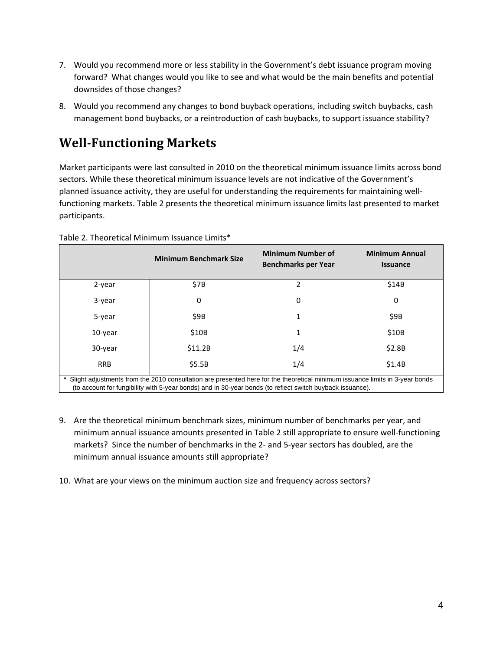- 7. Would you recommend more or less stability in the Government's debt issuance program moving forward? What changes would you like to see and what would be the main benefits and potential downsides of those changes?
- 8. Would you recommend any changes to bond buyback operations, including switch buybacks, cash management bond buybacks, or a reintroduction of cash buybacks, to support issuance stability?

## **Well-Functioning Markets**

Market participants were last consulted in 2010 on the theoretical minimum issuance limits across bond sectors. While these theoretical minimum issuance levels are not indicative of the Government's planned issuance activity, they are useful for understanding the requirements for maintaining wellfunctioning markets. Table 2 presents the theoretical minimum issuance limits last presented to market participants.

|                                                                                                                                                                                                                                           | <b>Minimum Benchmark Size</b> | <b>Minimum Number of</b><br><b>Benchmarks per Year</b> | <b>Minimum Annual</b><br><b>Issuance</b> |  |  |  |
|-------------------------------------------------------------------------------------------------------------------------------------------------------------------------------------------------------------------------------------------|-------------------------------|--------------------------------------------------------|------------------------------------------|--|--|--|
| 2-year                                                                                                                                                                                                                                    | \$7B                          | 2                                                      | \$14B                                    |  |  |  |
| 3-year                                                                                                                                                                                                                                    | 0                             | 0                                                      | 0                                        |  |  |  |
| 5-year                                                                                                                                                                                                                                    | \$9B                          | 1                                                      | \$9B                                     |  |  |  |
| 10-year                                                                                                                                                                                                                                   | \$10B                         | 1                                                      | \$10B                                    |  |  |  |
| 30-year                                                                                                                                                                                                                                   | \$11.2B                       | 1/4                                                    | \$2.8B                                   |  |  |  |
| <b>RRB</b>                                                                                                                                                                                                                                | \$5.5B                        | 1/4                                                    | \$1.4B                                   |  |  |  |
| Slight adjustments from the 2010 consultation are presented here for the theoretical minimum issuance limits in 3-year bonds<br>(to account for fungibility with 5-year bonds) and in 30-year bonds (to reflect switch buyback issuance). |                               |                                                        |                                          |  |  |  |

Table 2. Theoretical Minimum Issuance Limits\*

- 9. Are the theoretical minimum benchmark sizes, minimum number of benchmarks per year, and minimum annual issuance amounts presented in Table 2 still appropriate to ensure well-functioning markets? Since the number of benchmarks in the 2- and 5-year sectors has doubled, are the minimum annual issuance amounts still appropriate?
- 10. What are your views on the minimum auction size and frequency across sectors?